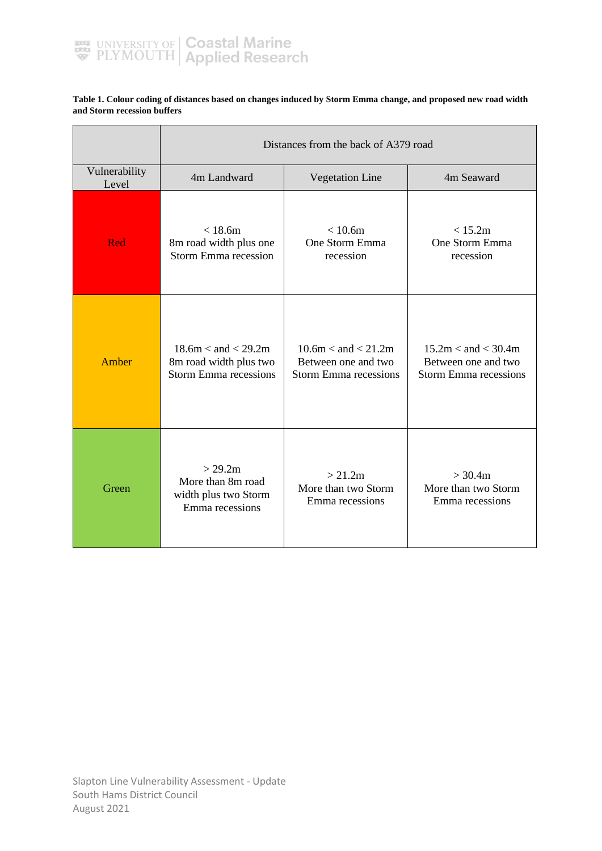

#### **Table 1. Colour coding of distances based on changes induced by Storm Emma change, and proposed new road width and Storm recession buffers**

 $\overline{ }$ 

|                        | Distances from the back of A379 road                                              |                                                                                |                                                                                |  |  |  |
|------------------------|-----------------------------------------------------------------------------------|--------------------------------------------------------------------------------|--------------------------------------------------------------------------------|--|--|--|
| Vulnerability<br>Level | 4m Landward                                                                       | <b>Vegetation Line</b>                                                         | 4m Seaward                                                                     |  |  |  |
| Red                    | < 18.6m<br>8m road width plus one<br><b>Storm Emma recession</b>                  | < 10.6m<br>One Storm Emma<br>recession                                         | < 15.2m<br>One Storm Emma<br>recession                                         |  |  |  |
| Amber                  | $18.6m <$ and $<$ 29.2m<br>8m road width plus two<br><b>Storm Emma recessions</b> | $10.6m <$ and $< 21.2m$<br>Between one and two<br><b>Storm Emma recessions</b> | $15.2m <$ and $<$ 30.4m<br>Between one and two<br><b>Storm Emma recessions</b> |  |  |  |
| Green                  | > 29.2m<br>More than 8m road<br>width plus two Storm<br>Emma recessions           | > 21.2m<br>More than two Storm<br>Emma recessions                              | > 30.4m<br>More than two Storm<br>Emma recessions                              |  |  |  |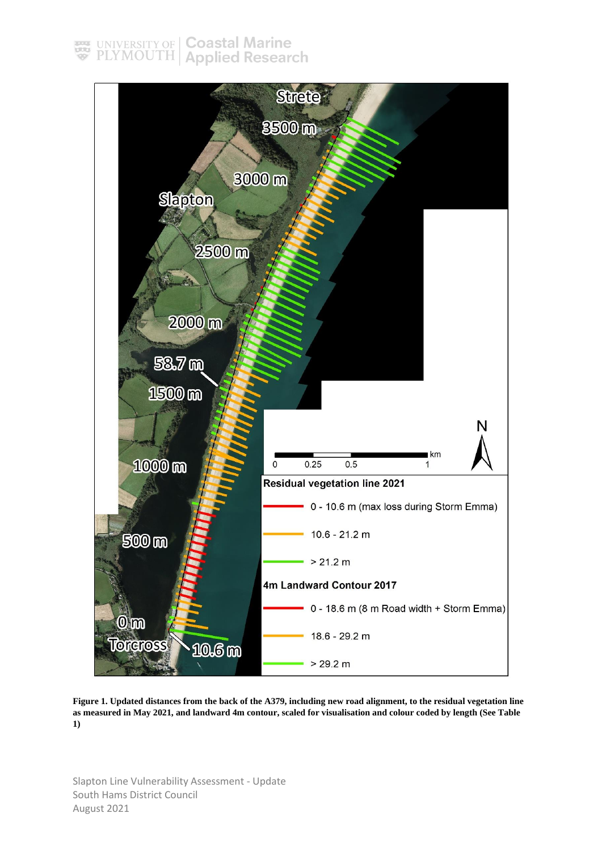

**Figure 1. Updated distances from the back of the A379, including new road alignment, to the residual vegetation line as measured in May 2021, and landward 4m contour, scaled for visualisation and colour coded by length (See Table 1)**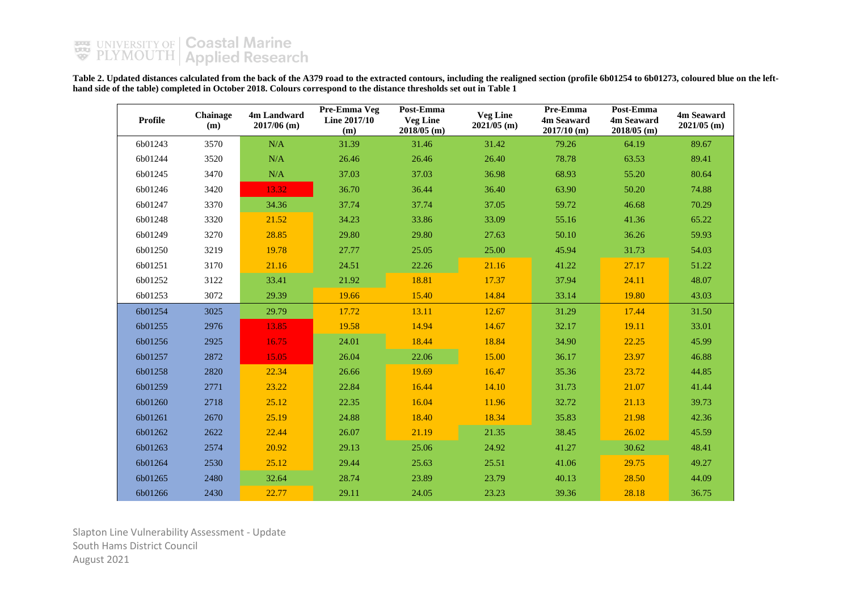Table 2. Updated distances calculated from the back of the A379 road to the extracted contours, including the realigned section (profile 6b01254 to 6b01273, coloured blue on the left**hand side of the table) completed in October 2018. Colours correspond to the distance thresholds set out in Table 1**

| <b>Profile</b> | Chainage<br>(m) | 4m Landward<br>$2017/06$ (m) | Pre-Emma Veg<br>Line 2017/10<br>(m) | Post-Emma<br><b>Veg Line</b><br>$2018/05$ (m) | <b>Veg Line</b><br>$2021/05$ (m) | Pre-Emma<br>4m Seaward<br>$2017/10$ (m) | Post-Emma<br>4m Seaward<br>$2018/05$ (m) | 4m Seaward<br>$2021/05$ (m) |
|----------------|-----------------|------------------------------|-------------------------------------|-----------------------------------------------|----------------------------------|-----------------------------------------|------------------------------------------|-----------------------------|
| 6b01243        | 3570            | N/A                          | 31.39                               | 31.46                                         | 31.42                            | 79.26                                   | 64.19                                    | 89.67                       |
| 6b01244        | 3520            | N/A                          | 26.46                               | 26.46                                         | 26.40                            | 78.78                                   | 63.53                                    | 89.41                       |
| 6b01245        | 3470            | $\rm N/A$                    | 37.03                               | 37.03                                         | 36.98                            | 68.93                                   | 55.20                                    | 80.64                       |
| 6b01246        | 3420            | 13.32                        | 36.70                               | 36.44                                         | 36.40                            | 63.90                                   | 50.20                                    | 74.88                       |
| 6b01247        | 3370            | 34.36                        | 37.74                               | 37.74                                         | 37.05                            | 59.72                                   | 46.68                                    | 70.29                       |
| 6b01248        | 3320            | 21.52                        | 34.23                               | 33.86                                         | 33.09                            | 55.16                                   | 41.36                                    | 65.22                       |
| 6b01249        | 3270            | 28.85                        | 29.80                               | 29.80                                         | 27.63                            | 50.10                                   | 36.26                                    | 59.93                       |
| 6b01250        | 3219            | 19.78                        | 27.77                               | 25.05                                         | 25.00                            | 45.94                                   | 31.73                                    | 54.03                       |
| 6b01251        | 3170            | 21.16                        | 24.51                               | 22.26                                         | 21.16                            | 41.22                                   | 27.17                                    | 51.22                       |
| 6b01252        | 3122            | 33.41                        | 21.92                               | 18.81                                         | 17.37                            | 37.94                                   | 24.11                                    | 48.07                       |
| 6b01253        | 3072            | 29.39                        | 19.66                               | 15.40                                         | 14.84                            | 33.14                                   | 19.80                                    | 43.03                       |
| 6b01254        | 3025            | 29.79                        | 17.72                               | 13.11                                         | 12.67                            | 31.29                                   | 17.44                                    | 31.50                       |
| 6b01255        | 2976            | 13.85                        | 19.58                               | 14.94                                         | 14.67                            | 32.17                                   | 19.11                                    | 33.01                       |
| 6b01256        | 2925            | 16.75                        | 24.01                               | 18.44                                         | 18.84                            | 34.90                                   | 22.25                                    | 45.99                       |
| 6b01257        | 2872            | 15.05                        | 26.04                               | 22.06                                         | 15.00                            | 36.17                                   | 23.97                                    | 46.88                       |
| 6b01258        | 2820            | 22.34                        | 26.66                               | 19.69                                         | 16.47                            | 35.36                                   | 23.72                                    | 44.85                       |
| 6b01259        | 2771            | 23.22                        | 22.84                               | 16.44                                         | 14.10                            | 31.73                                   | 21.07                                    | 41.44                       |
| 6b01260        | 2718            | 25.12                        | 22.35                               | 16.04                                         | 11.96                            | 32.72                                   | 21.13                                    | 39.73                       |
| 6b01261        | 2670            | 25.19                        | 24.88                               | 18.40                                         | 18.34                            | 35.83                                   | 21.98                                    | 42.36                       |
| 6b01262        | 2622            | 22.44                        | 26.07                               | 21.19                                         | 21.35                            | 38.45                                   | 26.02                                    | 45.59                       |
| 6b01263        | 2574            | 20.92                        | 29.13                               | 25.06                                         | 24.92                            | 41.27                                   | 30.62                                    | 48.41                       |
| 6b01264        | 2530            | 25.12                        | 29.44                               | 25.63                                         | 25.51                            | 41.06                                   | 29.75                                    | 49.27                       |
| 6b01265        | 2480            | 32.64                        | 28.74                               | 23.89                                         | 23.79                            | 40.13                                   | 28.50                                    | 44.09                       |
| 6b01266        | 2430            | 22.77                        | 29.11                               | 24.05                                         | 23.23                            | 39.36                                   | 28.18                                    | 36.75                       |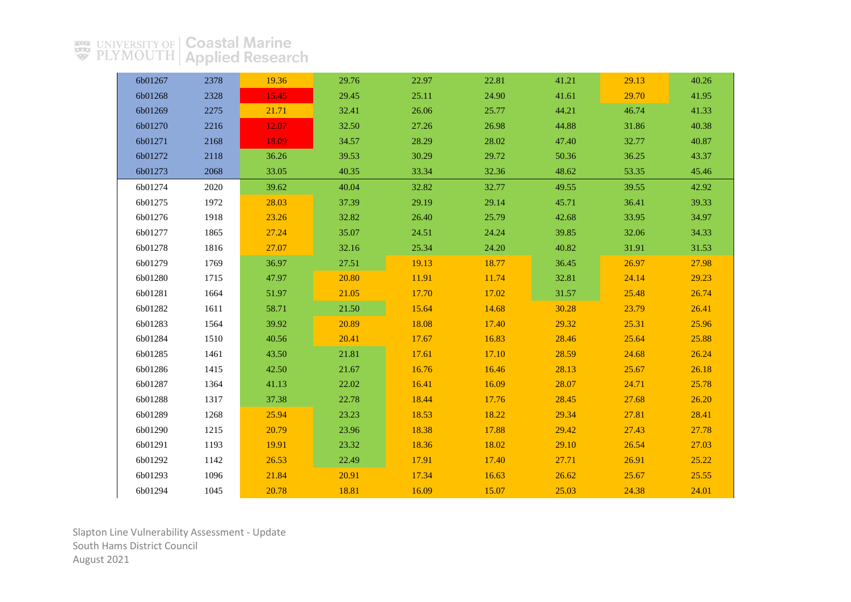| 6b01267 | 2378 | 19.36 | 29.76 | 22.97 | 22.81 | 41.21 | 29.13 | 40.26 |
|---------|------|-------|-------|-------|-------|-------|-------|-------|
| 6b01268 | 2328 | 15.45 | 29.45 | 25.11 | 24.90 | 41.61 | 29.70 | 41.95 |
| 6b01269 | 2275 | 21.71 | 32.41 | 26.06 | 25.77 | 44.21 | 46.74 | 41.33 |
| 6b01270 | 2216 | 12.07 | 32.50 | 27.26 | 26.98 | 44.88 | 31.86 | 40.38 |
| 6b01271 | 2168 | 18.09 | 34.57 | 28.29 | 28.02 | 47.40 | 32.77 | 40.87 |
| 6b01272 | 2118 | 36.26 | 39.53 | 30.29 | 29.72 | 50.36 | 36.25 | 43.37 |
| 6b01273 | 2068 | 33.05 | 40.35 | 33.34 | 32.36 | 48.62 | 53.35 | 45.46 |
| 6b01274 | 2020 | 39.62 | 40.04 | 32.82 | 32.77 | 49.55 | 39.55 | 42.92 |
| 6b01275 | 1972 | 28.03 | 37.39 | 29.19 | 29.14 | 45.71 | 36.41 | 39.33 |
| 6b01276 | 1918 | 23.26 | 32.82 | 26.40 | 25.79 | 42.68 | 33.95 | 34.97 |
| 6b01277 | 1865 | 27.24 | 35.07 | 24.51 | 24.24 | 39.85 | 32.06 | 34.33 |
| 6b01278 | 1816 | 27.07 | 32.16 | 25.34 | 24.20 | 40.82 | 31.91 | 31.53 |
| 6b01279 | 1769 | 36.97 | 27.51 | 19.13 | 18.77 | 36.45 | 26.97 | 27.98 |
| 6b01280 | 1715 | 47.97 | 20.80 | 11.91 | 11.74 | 32.81 | 24.14 | 29.23 |
| 6b01281 | 1664 | 51.97 | 21.05 | 17.70 | 17.02 | 31.57 | 25.48 | 26.74 |
| 6b01282 | 1611 | 58.71 | 21.50 | 15.64 | 14.68 | 30.28 | 23.79 | 26.41 |
| 6b01283 | 1564 | 39.92 | 20.89 | 18.08 | 17.40 | 29.32 | 25.31 | 25.96 |
| 6b01284 | 1510 | 40.56 | 20.41 | 17.67 | 16.83 | 28.46 | 25.64 | 25.88 |
| 6b01285 | 1461 | 43.50 | 21.81 | 17.61 | 17.10 | 28.59 | 24.68 | 26.24 |
| 6b01286 | 1415 | 42.50 | 21.67 | 16.76 | 16.46 | 28.13 | 25.67 | 26.18 |
| 6b01287 | 1364 | 41.13 | 22.02 | 16.41 | 16.09 | 28.07 | 24.71 | 25.78 |
| 6b01288 | 1317 | 37.38 | 22.78 | 18.44 | 17.76 | 28.45 | 27.68 | 26.20 |
| 6b01289 | 1268 | 25.94 | 23.23 | 18.53 | 18.22 | 29.34 | 27.81 | 28.41 |
| 6b01290 | 1215 | 20.79 | 23.96 | 18.38 | 17.88 | 29.42 | 27.43 | 27.78 |
| 6b01291 | 1193 | 19.91 | 23.32 | 18.36 | 18.02 | 29.10 | 26.54 | 27.03 |
| 6b01292 | 1142 | 26.53 | 22.49 | 17.91 | 17.40 | 27.71 | 26.91 | 25.22 |
| 6b01293 | 1096 | 21.84 | 20.91 | 17.34 | 16.63 | 26.62 | 25.67 | 25.55 |
| 6b01294 | 1045 | 20.78 | 18.81 | 16.09 | 15.07 | 25.03 | 24.38 | 24.01 |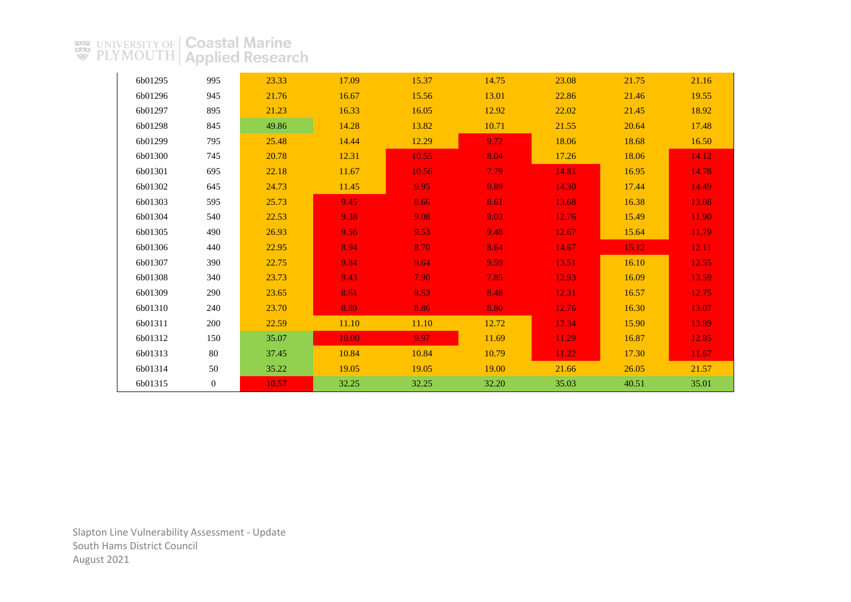| 6b01295 | 995            | 23.33 | 17.09 | 15.37 | 14.75 | 23.08 | 21.75 | 21.16 |
|---------|----------------|-------|-------|-------|-------|-------|-------|-------|
| 6b01296 | 945            | 21.76 | 16.67 | 15.56 | 13.01 | 22.86 | 21.46 | 19.55 |
| 6b01297 | 895            | 21.23 | 16.33 | 16.05 | 12.92 | 22.02 | 21.45 | 18.92 |
| 6b01298 | 845            | 49.86 | 14.28 | 13.82 | 10.71 | 21.55 | 20.64 | 17.48 |
| 6b01299 | 795            | 25.48 | 14.44 | 12.29 | 9.72  | 18.06 | 18.68 | 16.50 |
| 6b01300 | 745            | 20.78 | 12.31 | 10.55 | 8.04  | 17.26 | 18.06 | 14.12 |
| 6b01301 | 695            | 22.18 | 11.67 | 10.56 | 7.79  | 14.81 | 16.95 | 14.78 |
| 6b01302 | 645            | 24.73 | 11.45 | 9.95  | 9.89  | 14.30 | 17.44 | 14.49 |
| 6b01303 | 595            | 25.73 | 9.45  | 8.66  | 8.61  | 13.68 | 16.38 | 13.08 |
| 6b01304 | 540            | 22.53 | 9.38  | 9.08  | 9.03  | 12.76 | 15.49 | 11.90 |
| 6b01305 | 490            | 26.93 | 9.56  | 9.53  | 9.48  | 12.67 | 15.64 | 11.79 |
| 6b01306 | 440            | 22.95 | 8.94  | 8.70  | 8.64  | 14.67 | 15.12 | 12.11 |
| 6b01307 | 390            | 22.75 | 9.84  | 9.64  | 9.59  | 13.51 | 16.10 | 12.55 |
| 6b01308 | 340            | 23.73 | 9.43  | 7.90  | 7.85  | 12.93 | 16.09 | 13.59 |
| 6b01309 | 290            | 23.65 | 8.61  | 8.53  | 8.48  | 12.31 | 16.57 | 12.75 |
| 6b01310 | 240            | 23.70 | 8.89  | 8.86  | 8.80  | 12.76 | 16.30 | 13.07 |
| 6b01311 | 200            | 22.59 | 11.10 | 11.10 | 12.72 | 12.34 | 15.90 | 13.89 |
| 6b01312 | 150            | 35.07 | 10.00 | 9.97  | 11.69 | 11.29 | 16.87 | 12.85 |
| 6b01313 | 80             | 37.45 | 10.84 | 10.84 | 10.79 | 11.22 | 17.30 | 11.67 |
| 6b01314 | 50             | 35.22 | 19.05 | 19.05 | 19.00 | 21.66 | 26.05 | 21.57 |
| 6b01315 | $\overline{0}$ | 10.57 | 32.25 | 32.25 | 32.20 | 35.03 | 40.51 | 35.01 |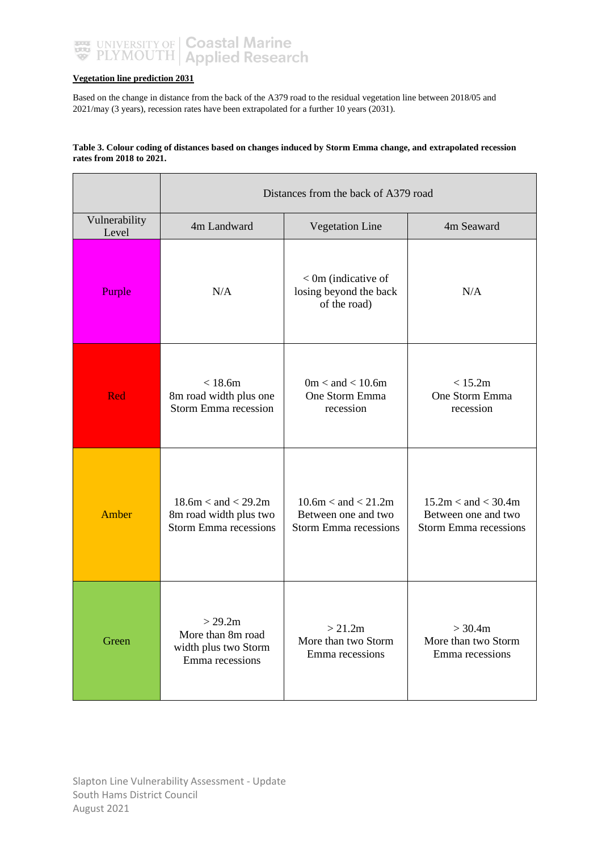

#### **Vegetation line prediction 2031**

Based on the change in distance from the back of the A379 road to the residual vegetation line between 2018/05 and 2021/may (3 years), recession rates have been extrapolated for a further 10 years (2031).

#### **Table 3. Colour coding of distances based on changes induced by Storm Emma change, and extrapolated recession rates from 2018 to 2021.**

|                        | Distances from the back of A379 road                                              |                                                                                |                                                                                |  |  |  |
|------------------------|-----------------------------------------------------------------------------------|--------------------------------------------------------------------------------|--------------------------------------------------------------------------------|--|--|--|
| Vulnerability<br>Level | 4m Landward                                                                       | <b>Vegetation Line</b>                                                         | 4m Seaward                                                                     |  |  |  |
| Purple                 | N/A                                                                               | $<$ 0m (indicative of<br>losing beyond the back<br>of the road)                | N/A                                                                            |  |  |  |
| Red                    | < 18.6m<br>8m road width plus one<br>Storm Emma recession                         | $0m <$ and $< 10.6m$<br>One Storm Emma<br>recession                            | < 15.2m<br>One Storm Emma<br>recession                                         |  |  |  |
| Amber                  | $18.6m <$ and $<$ 29.2m<br>8m road width plus two<br><b>Storm Emma recessions</b> | $10.6m <$ and $< 21.2m$<br>Between one and two<br><b>Storm Emma recessions</b> | $15.2m <$ and $<$ 30.4m<br>Between one and two<br><b>Storm Emma recessions</b> |  |  |  |
| Green                  | > 29.2m<br>More than 8m road<br>width plus two Storm<br>Emma recessions           | > 21.2m<br>More than two Storm<br>Emma recessions                              | > 30.4m<br>More than two Storm<br>Emma recessions                              |  |  |  |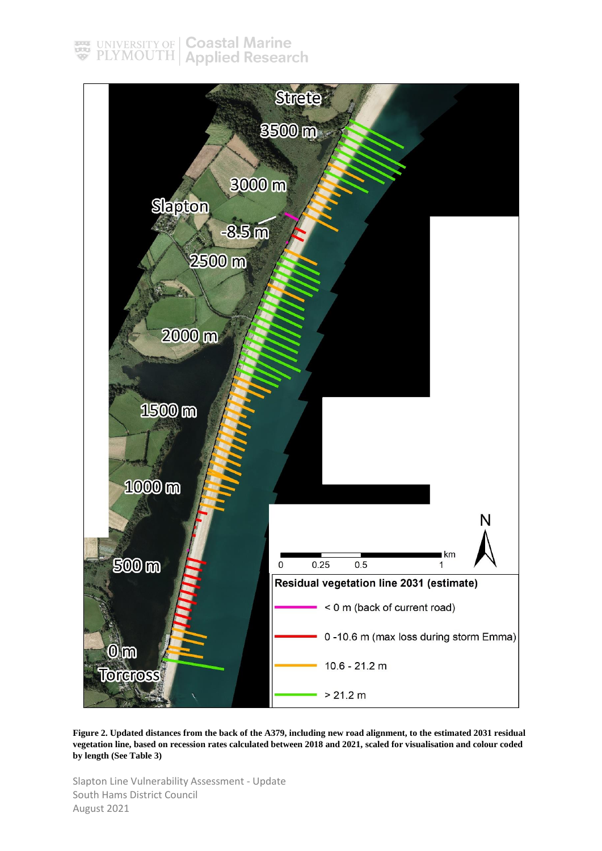### UNIVERSITY OF | Coastal Marine<br>PLYMOUTH | Applied Research  $rac{1}{\sqrt{2}}$



**Figure 2. Updated distances from the back of the A379, including new road alignment, to the estimated 2031 residual vegetation line, based on recession rates calculated between 2018 and 2021, scaled for visualisation and colour coded by length (See Table 3)**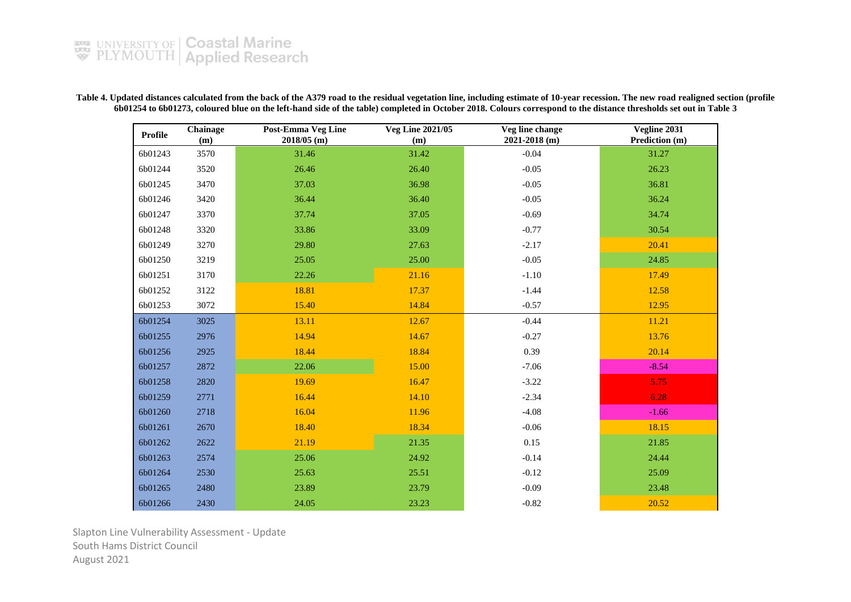**Table 4. Updated distances calculated from the back of the A379 road to the residual vegetation line, including estimate of 10-year recession. The new road realigned section (profile 6b01254 to 6b01273, coloured blue on the left-hand side of the table) completed in October 2018. Colours correspond to the distance thresholds set out in Table 3**

| <b>Profile</b> | Chainage<br>(m) | <b>Post-Emma Veg Line</b><br>2018/05 (m) | <b>Veg Line 2021/05</b><br>(m) | Veg line change<br>$2021 - 2018$ (m) | Vegline 2031<br>Prediction (m) |
|----------------|-----------------|------------------------------------------|--------------------------------|--------------------------------------|--------------------------------|
| 6b01243        | 3570            | 31.46                                    | 31.42                          | $-0.04$                              | 31.27                          |
| 6b01244        | 3520            | 26.46                                    | 26.40                          | $-0.05$                              | 26.23                          |
| 6b01245        | 3470            | 37.03                                    | 36.98                          | $-0.05$                              | 36.81                          |
| 6b01246        | 3420            | 36.44                                    | 36.40                          | $-0.05$                              | 36.24                          |
| 6b01247        | 3370            | 37.74                                    | 37.05                          | $-0.69$                              | 34.74                          |
| 6b01248        | 3320            | 33.86                                    | 33.09                          | $-0.77$                              | 30.54                          |
| 6b01249        | 3270            | 29.80                                    | 27.63                          | $-2.17$                              | 20.41                          |
| 6b01250        | 3219            | 25.05                                    | 25.00                          | $-0.05$                              | 24.85                          |
| 6b01251        | 3170            | 22.26                                    | 21.16                          | $-1.10$                              | 17.49                          |
| 6b01252        | 3122            | 18.81                                    | 17.37                          | $-1.44$                              | 12.58                          |
| 6b01253        | 3072            | 15.40                                    | 14.84                          | $-0.57$                              | 12.95                          |
| 6b01254        | 3025            | 13.11                                    | 12.67                          | $-0.44$                              | 11.21                          |
| 6b01255        | 2976            | 14.94                                    | 14.67                          | $-0.27$                              | 13.76                          |
| 6b01256        | 2925            | 18.44                                    | 18.84                          | 0.39                                 | 20.14                          |
| 6b01257        | 2872            | 22.06                                    | 15.00                          | $-7.06$                              | $-8.54$                        |
| 6b01258        | 2820            | 19.69                                    | 16.47                          | $-3.22$                              | 5.75                           |
| 6b01259        | 2771            | 16.44                                    | 14.10                          | $-2.34$                              | 6.28                           |
| 6b01260        | 2718            | 16.04                                    | 11.96                          | $-4.08$                              | $-1.66$                        |
| 6b01261        | 2670            | 18.40                                    | 18.34                          | $-0.06$                              | 18.15                          |
| 6b01262        | 2622            | 21.19                                    | 21.35                          | 0.15                                 | 21.85                          |
| 6b01263        | 2574            | 25.06                                    | 24.92                          | $-0.14$                              | 24.44                          |
| 6b01264        | 2530            | 25.63                                    | 25.51                          | $-0.12$                              | 25.09                          |
| 6b01265        | 2480            | 23.89                                    | 23.79                          | $-0.09$                              | 23.48                          |
| 6b01266        | 2430            | 24.05                                    | 23.23                          | $-0.82$                              | 20.52                          |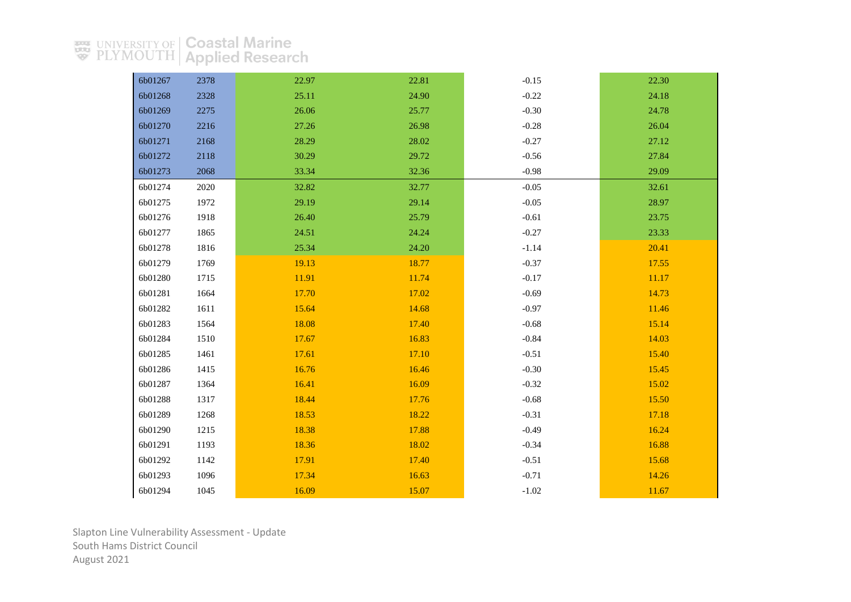| 6b01267 | 2378 | 22.97 | 22.81 | $-0.15$ | 22.30 |
|---------|------|-------|-------|---------|-------|
| 6b01268 | 2328 | 25.11 | 24.90 | $-0.22$ | 24.18 |
| 6b01269 | 2275 | 26.06 | 25.77 | $-0.30$ | 24.78 |
| 6b01270 | 2216 | 27.26 | 26.98 | $-0.28$ | 26.04 |
| 6b01271 | 2168 | 28.29 | 28.02 | $-0.27$ | 27.12 |
| 6b01272 | 2118 | 30.29 | 29.72 | $-0.56$ | 27.84 |
| 6b01273 | 2068 | 33.34 | 32.36 | $-0.98$ | 29.09 |
| 6b01274 | 2020 | 32.82 | 32.77 | $-0.05$ | 32.61 |
| 6b01275 | 1972 | 29.19 | 29.14 | $-0.05$ | 28.97 |
| 6b01276 | 1918 | 26.40 | 25.79 | $-0.61$ | 23.75 |
| 6b01277 | 1865 | 24.51 | 24.24 | $-0.27$ | 23.33 |
| 6b01278 | 1816 | 25.34 | 24.20 | $-1.14$ | 20.41 |
| 6b01279 | 1769 | 19.13 | 18.77 | $-0.37$ | 17.55 |
| 6b01280 | 1715 | 11.91 | 11.74 | $-0.17$ | 11.17 |
| 6b01281 | 1664 | 17.70 | 17.02 | $-0.69$ | 14.73 |
| 6b01282 | 1611 | 15.64 | 14.68 | $-0.97$ | 11.46 |
| 6b01283 | 1564 | 18.08 | 17.40 | $-0.68$ | 15.14 |
| 6b01284 | 1510 | 17.67 | 16.83 | $-0.84$ | 14.03 |
| 6b01285 | 1461 | 17.61 | 17.10 | $-0.51$ | 15.40 |
| 6b01286 | 1415 | 16.76 | 16.46 | $-0.30$ | 15.45 |
| 6b01287 | 1364 | 16.41 | 16.09 | $-0.32$ | 15.02 |
| 6b01288 | 1317 | 18.44 | 17.76 | $-0.68$ | 15.50 |
| 6b01289 | 1268 | 18.53 | 18.22 | $-0.31$ | 17.18 |
| 6b01290 | 1215 | 18.38 | 17.88 | $-0.49$ | 16.24 |
| 6b01291 | 1193 | 18.36 | 18.02 | $-0.34$ | 16.88 |
| 6b01292 | 1142 | 17.91 | 17.40 | $-0.51$ | 15.68 |
| 6b01293 | 1096 | 17.34 | 16.63 | $-0.71$ | 14.26 |
| 6b01294 | 1045 | 16.09 | 15.07 | $-1.02$ | 11.67 |